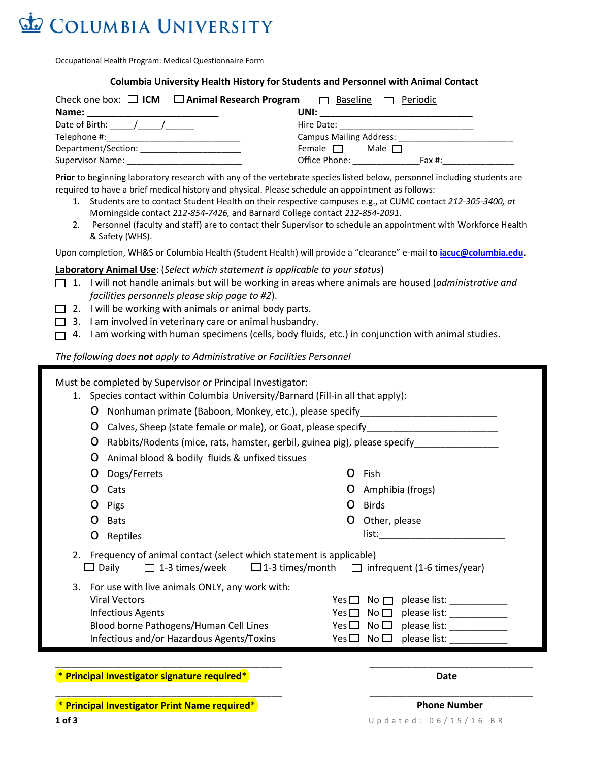

Occupational Health Program: Medical Questionnaire Form

#### **Columbia University Health History for Students and Personnel with Animal Contact**

| Check one box: $\Box$ ICM $\Box$ Animal Research Program | Baseline<br>Periodic           |
|----------------------------------------------------------|--------------------------------|
| Name:                                                    | UNI:                           |
| Date of Birth: $/$ /                                     | Hire Date:                     |
| Telephone #: ____________________________                | <b>Campus Mailing Address:</b> |
| Department/Section:                                      | Female $\Box$<br>Male $\Box$   |
| <b>Supervisor Name:</b>                                  | Office Phone:<br>Fax $#$ :     |

**Prior** to beginning laboratory research with any of the vertebrate species listed below, personnel including students are required to have a brief medical history and physical. Please schedule an appointment as follows:

- 1. Students are to contact Student Health on their respective campuses e.g., at CUMC contact *212-305-3400, at* Morningside contact *212-854-7426,* and Barnard College contact *212-854-2091*.
- 2. Personnel (faculty and staff) are to contact their Supervisor to schedule an appointment with Workforce Health & Safety (WHS).

Upon completion, WH&S or Columbia Health (Student Health) will provide a "clearance" e-mail **t[o iacuc@columbia.edu.](mailto:iacuc@columbia.edu)** 

### **Laboratory Animal Use**: (*Select which statement is applicable to your status*)

- 1. I will not handle animals but will be working in areas where animals are housed (*administrative and facilities personnels please skip page to #2*).
- $\Box$  2. I will be working with animals or animal body parts.
- $\Box$  3. I am involved in veterinary care or animal husbandry.
- $\Box$  4. I am working with human specimens (cells, body fluids, etc.) in conjunction with animal studies.

### *The following does not apply to Administrative or Facilities Personnel*

Must be completed by Supervisor or Principal Investigator:

- 1. Species contact within Columbia University/Barnard (Fill-in all that apply):
	- o Nonhuman primate (Baboon, Monkey, etc.), please specify\_\_\_\_\_\_\_\_\_\_\_\_\_\_\_\_\_\_\_\_\_\_\_\_\_\_
	- o Calves, Sheep (state female or male), or Goat, please specify\_\_\_\_\_\_\_\_\_\_\_\_\_\_\_\_\_\_\_\_\_\_\_\_\_

O Rabbits/Rodents (mice, rats, hamster, gerbil, guinea pig), please specify

o Fish

o Birds

o Amphibia (frogs)

o Other, please  $list:$ 

- o Animal blood & bodily fluids & unfixed tissues
- o Dogs/Ferrets
- o Cats
- o Pigs
- o Bats
- o Reptiles

2. Frequency of animal contact (select which statement is applicable)

 $\Box$  Daily  $\Box$  1-3 times/week  $\Box$  1-3 times/month  $\Box$  infrequent (1-6 times/year)

\_\_\_\_\_\_\_\_\_\_\_\_\_\_\_\_\_\_\_\_\_\_\_\_\_\_\_\_\_\_\_\_\_\_\_\_\_\_\_\_\_\_\_ \_\_\_\_\_\_\_\_\_\_\_\_\_\_\_\_\_\_\_\_\_\_\_\_\_\_\_\_\_\_\_

3. For use with live animals ONLY, any work with: Viral Vectors  $Yes \Box$  No  $\Box$  please list: Infectious Agents  $\blacksquare$  Yes  $\blacksquare$  No  $\blacksquare$  please list: Blood borne Pathogens/Human Cell Lines  $Yes \Box \ No \Box$  please list: Infectious and/or Hazardous Agents/Toxins  $Yes \Box \ No \Box$  please list:

\* **Principal Investigator signature required**\* **Date**

\* **Principal Investigator Print Name required**\* **Phone Number**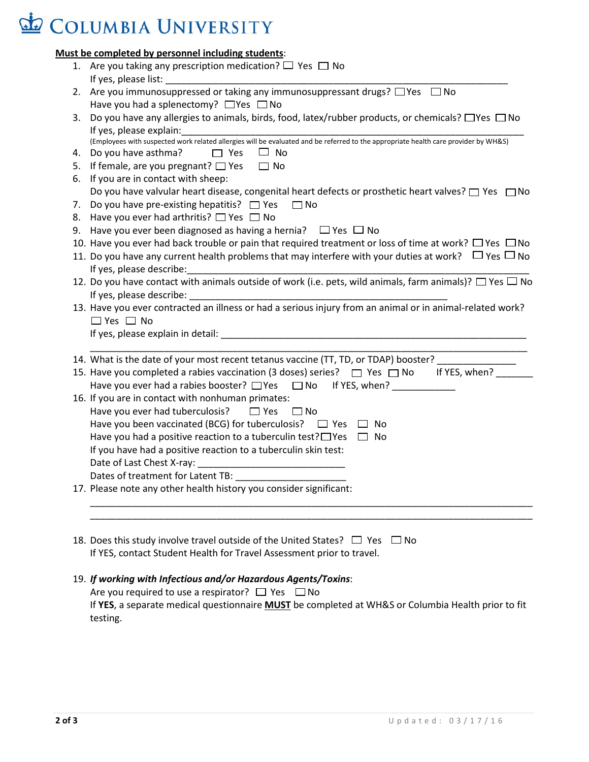# COLUMBIA UNIVERSITY

## **Must be completed by personnel including students**:

|    | 1. Are you taking any prescription medication? $\Box$ Yes $\Box$ No                                                                 |  |
|----|-------------------------------------------------------------------------------------------------------------------------------------|--|
|    |                                                                                                                                     |  |
| 2. | Are you immunosuppressed or taking any immunosuppressant drugs? □ Yes □ No                                                          |  |
|    | Have you had a splenectomy? $\Box$ Yes $\Box$ No                                                                                    |  |
| 3. | Do you have any allergies to animals, birds, food, latex/rubber products, or chemicals? □ Yes □ No                                  |  |
|    | If yes, please explain:                                                                                                             |  |
|    | (Employees with suspected work related allergies will be evaluated and be referred to the appropriate health care provider by WH&S) |  |
| 4. | Do you have asthma?<br>$\Box$ Yes<br>$\Box$ No                                                                                      |  |
| 5. | If female, are you pregnant? $\Box$ Yes<br>$\Box$ No                                                                                |  |
| 6. | If you are in contact with sheep:                                                                                                   |  |
|    | Do you have valvular heart disease, congenital heart defects or prosthetic heart valves? $\square$ Yes $\square$ No                 |  |
|    | 7. Do you have pre-existing hepatitis? $\Box$ Yes<br>$\Box$ No                                                                      |  |
|    | 8. Have you ever had arthritis? $\Box$ Yes $\Box$ No                                                                                |  |
|    | 9. Have you ever been diagnosed as having a hernia? $\Box$ Yes $\Box$ No                                                            |  |
|    | 10. Have you ever had back trouble or pain that required treatment or loss of time at work? $\Box$ Yes $\Box$ No                    |  |
|    | 11. Do you have any current health problems that may interfere with your duties at work? $\Box$ Yes $\Box$ No                       |  |
|    | If yes, please describe: International control of the set of the set of the set of the set of the set of the s                      |  |
|    | 12. Do you have contact with animals outside of work (i.e. pets, wild animals, farm animals)? $\Box$ Yes $\Box$ No                  |  |
|    |                                                                                                                                     |  |
|    | 13. Have you ever contracted an illness or had a serious injury from an animal or in animal-related work?                           |  |
|    | $\Box$ Yes $\Box$ No                                                                                                                |  |
|    | If yes, please explain in detail: explained a state of the state of the state of the state of the state of the                      |  |
|    |                                                                                                                                     |  |
|    | 14. What is the date of your most recent tetanus vaccine (TT, TD, or TDAP) booster?                                                 |  |
|    | 15. Have you completed a rabies vaccination (3 doses) series? $\Box$ Yes $\Box$ No If YES, when?                                    |  |
|    | Have you ever had a rabies booster? □ Yes □ No If YES, when?                                                                        |  |
|    | 16. If you are in contact with nonhuman primates:                                                                                   |  |
|    | Have you ever had tuberculosis? $\Box$ Yes<br>$\square$ No                                                                          |  |
|    | Have you been vaccinated (BCG) for tuberculosis? $\Box$ Yes $\Box$ No                                                               |  |
|    | Have you had a positive reaction to a tuberculin test? $\Box$ Yes $\Box$ No                                                         |  |
|    | If you have had a positive reaction to a tuberculin skin test:                                                                      |  |
|    |                                                                                                                                     |  |
|    | Dates of treatment for Latent TB:                                                                                                   |  |
|    | 17. Please note any other health history you consider significant:                                                                  |  |
|    |                                                                                                                                     |  |
|    |                                                                                                                                     |  |
|    |                                                                                                                                     |  |
|    | 18. Does this study involve travel outside of the United States? $\Box$ Yes $\Box$ No                                               |  |
|    | If YES, contact Student Health for Travel Assessment prior to travel.                                                               |  |

19. *If working with Infectious and/or Hazardous Agents/Toxins*: Are you required to use a respirator?  $\Box$  Yes  $\Box$  No If **YES**, a separate medical questionnaire **MUST** be completed at WH&S or Columbia Health prior to fit testing.